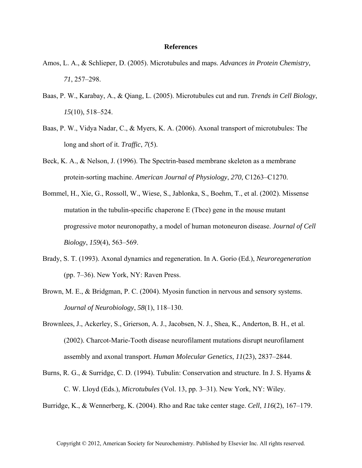## **References**

- Amos, L. A., & Schlieper, D. (2005). Microtubules and maps. *Advances in Protein Chemistry*, *71*, 257–298.
- Baas, P. W., Karabay, A., & Qiang, L. (2005). Microtubules cut and run. *Trends in Cell Biology*, *15*(10), 518–524.
- Baas, P. W., Vidya Nadar, C., & Myers, K. A. (2006). Axonal transport of microtubules: The long and short of it. *Traffic*, *7*(5).
- Beck, K. A., & Nelson, J. (1996). The Spectrin-based membrane skeleton as a membrane protein-sorting machine. *American Journal of Physiology*, *270*, C1263–C1270.
- Bommel, H., Xie, G., Rossoll, W., Wiese, S., Jablonka, S., Boehm, T., et al. (2002). Missense mutation in the tubulin-specific chaperone E (Tbce) gene in the mouse mutant progressive motor neuronopathy, a model of human motoneuron disease. *Journal of Cell Biology*, *159*(4), 563–569.
- Brady, S. T. (1993). Axonal dynamics and regeneration. In A. Gorio (Ed.), *Neuroregeneration* (pp. 7–36). New York, NY: Raven Press.
- Brown, M. E., & Bridgman, P. C. (2004). Myosin function in nervous and sensory systems. *Journal of Neurobiology*, *58*(1), 118–130.
- Brownlees, J., Ackerley, S., Grierson, A. J., Jacobsen, N. J., Shea, K., Anderton, B. H., et al. (2002). Charcot-Marie-Tooth disease neurofilament mutations disrupt neurofilament assembly and axonal transport. *Human Molecular Genetics*, *11*(23), 2837–2844.
- Burns, R. G., & Surridge, C. D. (1994). Tubulin: Conservation and structure. In J. S. Hyams & C. W. Lloyd (Eds.), *Microtubules* (Vol. 13, pp. 3–31). New York, NY: Wiley.
- Burridge, K., & Wennerberg, K. (2004). Rho and Rac take center stage. *Cell*, *116*(2), 167–179.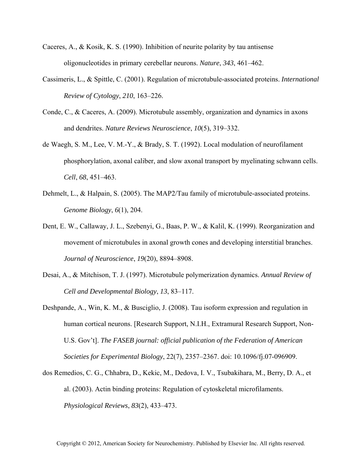- Caceres, A., & Kosik, K. S. (1990). Inhibition of neurite polarity by tau antisense oligonucleotides in primary cerebellar neurons. *Nature*, *343*, 461–462.
- Cassimeris, L., & Spittle, C. (2001). Regulation of microtubule-associated proteins. *International Review of Cytology*, *210*, 163–226.
- Conde, C., & Caceres, A. (2009). Microtubule assembly, organization and dynamics in axons and dendrites. *Nature Reviews Neuroscience*, *10*(5), 319–332.
- de Waegh, S. M., Lee, V. M.-Y., & Brady, S. T. (1992). Local modulation of neurofilament phosphorylation, axonal caliber, and slow axonal transport by myelinating schwann cells. *Cell*, *68*, 451–463.
- Dehmelt, L., & Halpain, S. (2005). The MAP2/Tau family of microtubule-associated proteins. *Genome Biology*, *6*(1), 204.
- Dent, E. W., Callaway, J. L., Szebenyi, G., Baas, P. W., & Kalil, K. (1999). Reorganization and movement of microtubules in axonal growth cones and developing interstitial branches. *Journal of Neuroscience*, *19*(20), 8894–8908.
- Desai, A., & Mitchison, T. J. (1997). Microtubule polymerization dynamics. *Annual Review of Cell and Developmental Biology*, *13*, 83–117.
- Deshpande, A., Win, K. M., & Busciglio, J. (2008). Tau isoform expression and regulation in human cortical neurons. [Research Support, N.I.H., Extramural Research Support, Non-U.S. Gov't]. *The FASEB journal: official publication of the Federation of American Societies for Experimental Biology*, 22(7), 2357–2367. doi: 10.1096/fj.07-096909.
- dos Remedios, C. G., Chhabra, D., Kekic, M., Dedova, I. V., Tsubakihara, M., Berry, D. A., et al. (2003). Actin binding proteins: Regulation of cytoskeletal microfilaments. *Physiological Reviews*, *83*(2), 433–473.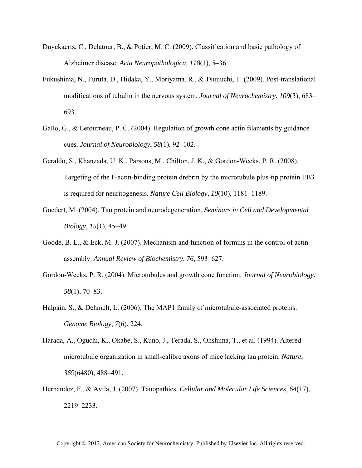- Duyckaerts, C., Delatour, B., & Potier, M. C. (2009). Classification and basic pathology of Alzheimer disease. *Acta Neuropathologica*, *118*(1), 5–36.
- Fukushima, N., Furuta, D., Hidaka, Y., Moriyama, R., & Tsujiuchi, T. (2009). Post-translational modifications of tubulin in the nervous system. *Journal of Neurochemistry*, *109*(3), 683– 693.
- Gallo, G., & Letourneau, P. C. (2004). Regulation of growth cone actin filaments by guidance cues. *Journal of Neurobiology*, *58*(1), 92–102.
- Geraldo, S., Khanzada, U. K., Parsons, M., Chilton, J. K., & Gordon-Weeks, P. R. (2008). Targeting of the F-actin-binding protein drebrin by the microtubule plus-tip protein EB3 is required for neuritogenesis. *Nature Cell Biology*, *10*(10), 1181–1189.
- Goedert, M. (2004). Tau protein and neurodegeneration. *Seminars in Cell and Developmental Biology*, *15*(1), 45–49.
- Goode, B. L., & Eck, M. J. (2007). Mechanism and function of formins in the control of actin assembly. *Annual Review of Biochemistry*, *76*, 593–627.
- Gordon-Weeks, P. R. (2004). Microtubules and growth cone function. *Journal of Neurobiology*, *58*(1), 70–83.
- Halpain, S., & Dehmelt, L. (2006). The MAP1 family of microtubule-associated proteins. *Genome Biology*, *7*(6), 224.
- Harada, A., Oguchi, K., Okabe, S., Kuno, J., Terada, S., Ohshima, T., et al. (1994). Altered microtubule organization in small-calibre axons of mice lacking tau protein. *Nature*, *369*(6480), 488–491.
- Hernandez, F., & Avila, J. (2007). Tauopathies. *Cellular and Molecular Life Sciences*, *64*(17), 2219–2233.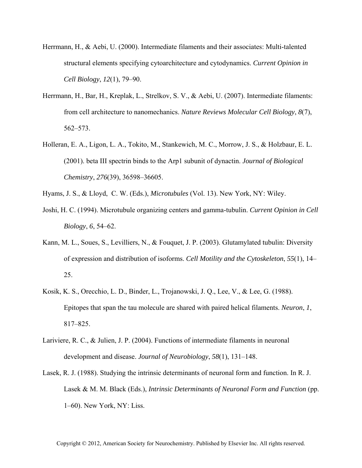- Herrmann, H., & Aebi, U. (2000). Intermediate filaments and their associates: Multi-talented structural elements specifying cytoarchitecture and cytodynamics. *Current Opinion in Cell Biology*, *12*(1), 79–90.
- Herrmann, H., Bar, H., Kreplak, L., Strelkov, S. V., & Aebi, U. (2007). Intermediate filaments: from cell architecture to nanomechanics. *Nature Reviews Molecular Cell Biology*, *8*(7), 562–573.
- Holleran, E. A., Ligon, L. A., Tokito, M., Stankewich, M. C., Morrow, J. S., & Holzbaur, E. L. (2001). beta III spectrin binds to the Arp1 subunit of dynactin. *Journal of Biological Chemistry*, *276*(39), 36598–36605.
- Hyams, J. S., & Lloyd, C. W. (Eds.), *Microtubules* (Vol. 13). New York, NY: Wiley.
- Joshi, H. C. (1994). Microtubule organizing centers and gamma-tubulin. *Current Opinion in Cell Biology*, *6*, 54–62.
- Kann, M. L., Soues, S., Levilliers, N., & Fouquet, J. P. (2003). Glutamylated tubulin: Diversity of expression and distribution of isoforms. *Cell Motility and the Cytoskeleton*, *55*(1), 14– 25.
- Kosik, K. S., Orecchio, L. D., Binder, L., Trojanowski, J. Q., Lee, V., & Lee, G. (1988). Epitopes that span the tau molecule are shared with paired helical filaments. *Neuron*, *1*, 817–825.
- Lariviere, R. C., & Julien, J. P. (2004). Functions of intermediate filaments in neuronal development and disease. *Journal of Neurobiology*, *58*(1), 131–148.
- Lasek, R. J. (1988). Studying the intrinsic determinants of neuronal form and function. In R. J. Lasek & M. M. Black (Eds.), *Intrinsic Determinants of Neuronal Form and Function* (pp. 1–60). New York, NY: Liss.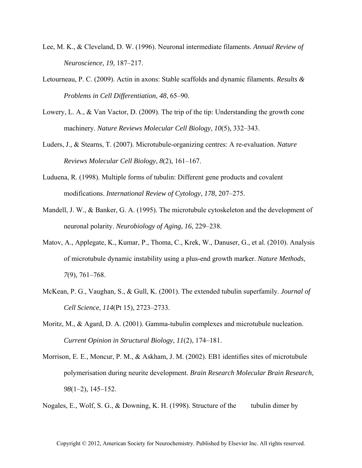- Lee, M. K., & Cleveland, D. W. (1996). Neuronal intermediate filaments. *Annual Review of Neuroscience*, *19*, 187–217.
- Letourneau, P. C. (2009). Actin in axons: Stable scaffolds and dynamic filaments. *Results & Problems in Cell Differentiation*, *48*, 65–90.
- Lowery, L. A., & Van Vactor, D. (2009). The trip of the tip: Understanding the growth cone machinery. *Nature Reviews Molecular Cell Biology*, *10*(5), 332–343.
- Luders, J., & Stearns, T. (2007). Microtubule-organizing centres: A re-evaluation. *Nature Reviews Molecular Cell Biology*, *8*(2), 161–167.
- Luduena, R. (1998). Multiple forms of tubulin: Different gene products and covalent modifications. *International Review of Cytology*, *178*, 207–275.
- Mandell, J. W., & Banker, G. A. (1995). The microtubule cytoskeleton and the development of neuronal polarity. *Neurobiology of Aging*, *16*, 229–238.
- Matov, A., Applegate, K., Kumar, P., Thoma, C., Krek, W., Danuser, G., et al. (2010). Analysis of microtubule dynamic instability using a plus-end growth marker. *Nature Methods*, *7*(9), 761–768.
- McKean, P. G., Vaughan, S., & Gull, K. (2001). The extended tubulin superfamily. *Journal of Cell Science*, *114*(Pt 15), 2723–2733.
- Moritz, M., & Agard, D. A. (2001). Gamma-tubulin complexes and microtubule nucleation. *Current Opinion in Structural Biology*, *11*(2), 174–181.
- Morrison, E. E., Moncur, P. M., & Askham, J. M. (2002). EB1 identifies sites of microtubule polymerisation during neurite development. *Brain Research Molecular Brain Research*, *98*(1–2), 145–152.

Nogales, E., Wolf, S. G., & Downing, K. H. (1998). Structure of the tubulin dimer by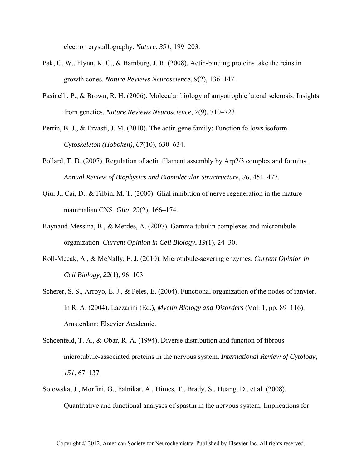electron crystallography. *Nature*, *391*, 199–203.

- Pak, C. W., Flynn, K. C., & Bamburg, J. R. (2008). Actin-binding proteins take the reins in growth cones. *Nature Reviews Neuroscience*, *9*(2), 136–147.
- Pasinelli, P., & Brown, R. H. (2006). Molecular biology of amyotrophic lateral sclerosis: Insights from genetics. *Nature Reviews Neuroscience*, *7*(9), 710–723.
- Perrin, B. J., & Ervasti, J. M. (2010). The actin gene family: Function follows isoform. *Cytoskeleton (Hoboken)*, *67*(10), 630–634.
- Pollard, T. D. (2007). Regulation of actin filament assembly by Arp2/3 complex and formins. *Annual Review of Biophysics and Biomolecular Structructure*, *36*, 451–477.
- Qiu, J., Cai, D., & Filbin, M. T. (2000). Glial inhibition of nerve regeneration in the mature mammalian CNS. *Glia*, *29*(2), 166–174.
- Raynaud-Messina, B., & Merdes, A. (2007). Gamma-tubulin complexes and microtubule organization. *Current Opinion in Cell Biology*, *19*(1), 24–30.
- Roll-Mecak, A., & McNally, F. J. (2010). Microtubule-severing enzymes. *Current Opinion in Cell Biology*, *22*(1), 96–103.
- Scherer, S. S., Arroyo, E. J., & Peles, E. (2004). Functional organization of the nodes of ranvier. In R. A. (2004). Lazzarini (Ed.), *Myelin Biology and Disorders* (Vol. 1, pp. 89–116). Amsterdam: Elsevier Academic.
- Schoenfeld, T. A., & Obar, R. A. (1994). Diverse distribution and function of fibrous microtubule-associated proteins in the nervous system. *International Review of Cytology*, *151*, 67–137.
- Solowska, J., Morfini, G., Falnikar, A., Himes, T., Brady, S., Huang, D., et al. (2008). Quantitative and functional analyses of spastin in the nervous system: Implications for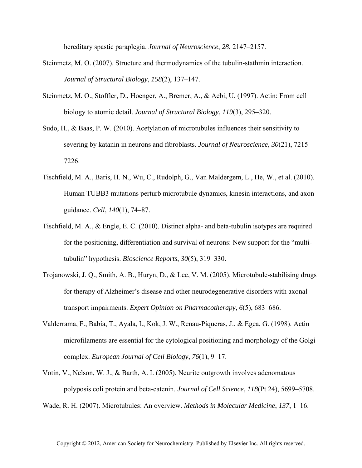hereditary spastic paraplegia. *Journal of Neuroscience*, *28*, 2147–2157.

- Steinmetz, M. O. (2007). Structure and thermodynamics of the tubulin-stathmin interaction. *Journal of Structural Biology*, *158*(2), 137–147.
- Steinmetz, M. O., Stoffler, D., Hoenger, A., Bremer, A., & Aebi, U. (1997). Actin: From cell biology to atomic detail. *Journal of Structural Biology*, *119*(3), 295–320.
- Sudo, H., & Baas, P. W. (2010). Acetylation of microtubules influences their sensitivity to severing by katanin in neurons and fibroblasts. *Journal of Neuroscience*, *30*(21), 7215– 7226.
- Tischfield, M. A., Baris, H. N., Wu, C., Rudolph, G., Van Maldergem, L., He, W., et al. (2010). Human TUBB3 mutations perturb microtubule dynamics, kinesin interactions, and axon guidance. *Cell*, *140*(1), 74–87.
- Tischfield, M. A., & Engle, E. C. (2010). Distinct alpha- and beta-tubulin isotypes are required for the positioning, differentiation and survival of neurons: New support for the "multitubulin" hypothesis. *Bioscience Reports*, *30*(5), 319–330.
- Trojanowski, J. Q., Smith, A. B., Huryn, D., & Lee, V. M. (2005). Microtubule-stabilising drugs for therapy of Alzheimer's disease and other neurodegenerative disorders with axonal transport impairments. *Expert Opinion on Pharmacotherapy*, *6*(5), 683–686.
- Valderrama, F., Babia, T., Ayala, I., Kok, J. W., Renau-Piqueras, J., & Egea, G. (1998). Actin microfilaments are essential for the cytological positioning and morphology of the Golgi complex. *European Journal of Cell Biology*, *76*(1), 9–17.
- Votin, V., Nelson, W. J., & Barth, A. I. (2005). Neurite outgrowth involves adenomatous polyposis coli protein and beta-catenin. *Journal of Cell Science*, *118*(Pt 24), 5699–5708.
- Wade, R. H. (2007). Microtubules: An overview. *Methods in Molecular Medicine*, *137*, 1–16.